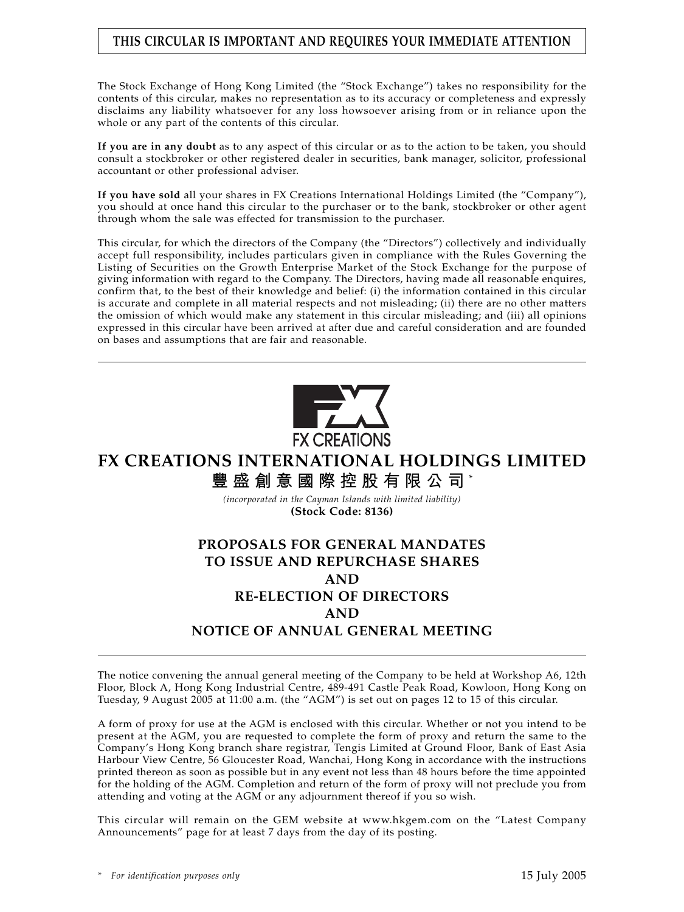# **THIS CIRCULAR IS IMPORTANT AND REQUIRES YOUR IMMEDIATE ATTENTION**

The Stock Exchange of Hong Kong Limited (the "Stock Exchange") takes no responsibility for the contents of this circular, makes no representation as to its accuracy or completeness and expressly disclaims any liability whatsoever for any loss howsoever arising from or in reliance upon the whole or any part of the contents of this circular.

**If you are in any doubt** as to any aspect of this circular or as to the action to be taken, you should consult a stockbroker or other registered dealer in securities, bank manager, solicitor, professional accountant or other professional adviser.

**If you have sold** all your shares in FX Creations International Holdings Limited (the "Company"), you should at once hand this circular to the purchaser or to the bank, stockbroker or other agent through whom the sale was effected for transmission to the purchaser.

This circular, for which the directors of the Company (the "Directors") collectively and individually accept full responsibility, includes particulars given in compliance with the Rules Governing the Listing of Securities on the Growth Enterprise Market of the Stock Exchange for the purpose of giving information with regard to the Company. The Directors, having made all reasonable enquires, confirm that, to the best of their knowledge and belief: (i) the information contained in this circular is accurate and complete in all material respects and not misleading; (ii) there are no other matters the omission of which would make any statement in this circular misleading; and (iii) all opinions expressed in this circular have been arrived at after due and careful consideration and are founded on bases and assumptions that are fair and reasonable.



# **FX CREATIONS INTERNATIONAL HOLDINGS LIMITED**

**豐盛創意國際控股有限公司** \*

*(incorporated in the Cayman Islands with limited liability)* **(Stock Code: 8136)**

# **PROPOSALS FOR GENERAL MANDATES TO ISSUE AND REPURCHASE SHARES AND RE-ELECTION OF DIRECTORS AND NOTICE OF ANNUAL GENERAL MEETING**

The notice convening the annual general meeting of the Company to be held at Workshop A6, 12th Floor, Block A, Hong Kong Industrial Centre, 489-491 Castle Peak Road, Kowloon, Hong Kong on Tuesday, 9 August 2005 at 11:00 a.m. (the "AGM") is set out on pages 12 to 15 of this circular.

A form of proxy for use at the AGM is enclosed with this circular. Whether or not you intend to be present at the AGM, you are requested to complete the form of proxy and return the same to the Company's Hong Kong branch share registrar, Tengis Limited at Ground Floor, Bank of East Asia Harbour View Centre, 56 Gloucester Road, Wanchai, Hong Kong in accordance with the instructions printed thereon as soon as possible but in any event not less than 48 hours before the time appointed for the holding of the AGM. Completion and return of the form of proxy will not preclude you from attending and voting at the AGM or any adjournment thereof if you so wish.

This circular will remain on the GEM website at www.hkgem.com on the "Latest Company Announcements" page for at least 7 days from the day of its posting.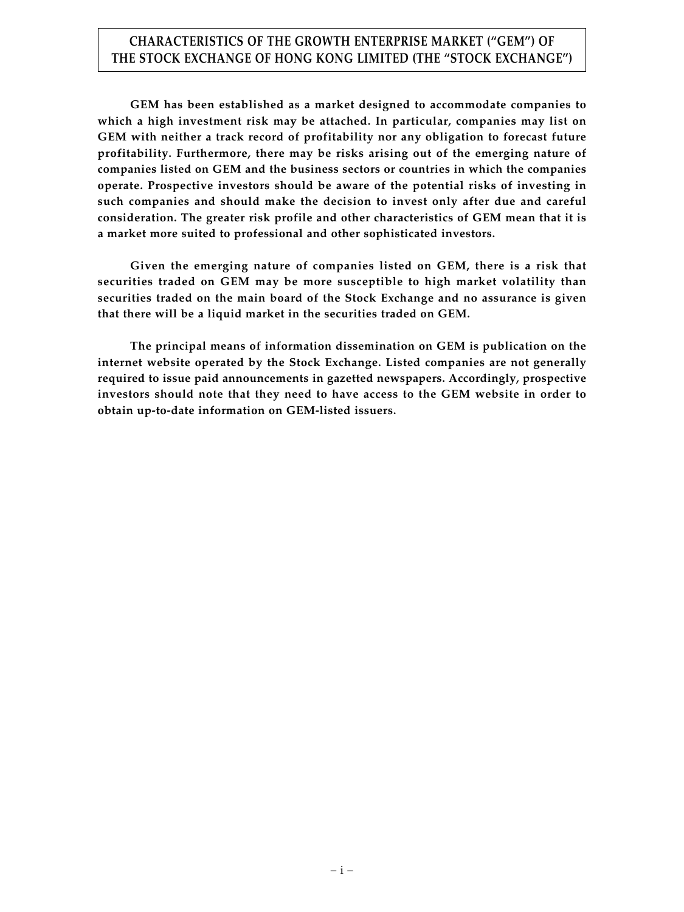# **CHARACTERISTICS OF THE GROWTH ENTERPRISE MARKET (''GEM'') OF THE STOCK EXCHANGE OF HONG KONG LIMITED (THE ''STOCK EXCHANGE'')**

**GEM has been established as a market designed to accommodate companies to which a high investment risk may be attached. In particular, companies may list on GEM with neither a track record of profitability nor any obligation to forecast future profitability. Furthermore, there may be risks arising out of the emerging nature of companies listed on GEM and the business sectors or countries in which the companies operate. Prospective investors should be aware of the potential risks of investing in such companies and should make the decision to invest only after due and careful consideration. The greater risk profile and other characteristics of GEM mean that it is a market more suited to professional and other sophisticated investors.**

**Given the emerging nature of companies listed on GEM, there is a risk that securities traded on GEM may be more susceptible to high market volatility than securities traded on the main board of the Stock Exchange and no assurance is given that there will be a liquid market in the securities traded on GEM.**

**The principal means of information dissemination on GEM is publication on the internet website operated by the Stock Exchange. Listed companies are not generally required to issue paid announcements in gazetted newspapers. Accordingly, prospective investors should note that they need to have access to the GEM website in order to obtain up-to-date information on GEM-listed issuers.**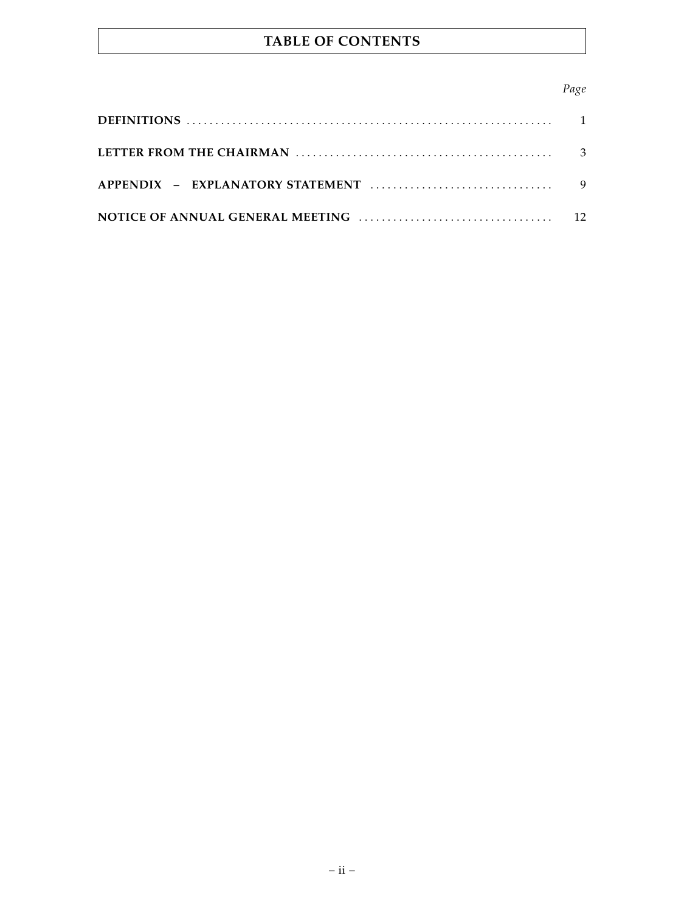# **TABLE OF CONTENTS**

# *Page*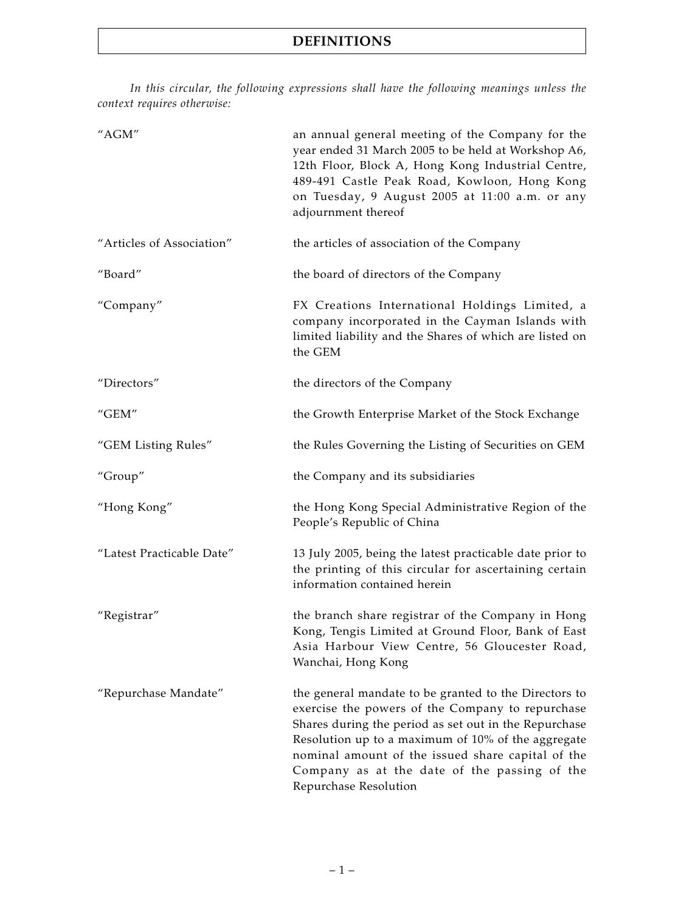*In this circular, the following expressions shall have the following meanings unless the context requires otherwise:*

| "AGM"                                     | an annual general meeting of the Company for the<br>year ended 31 March 2005 to be held at Workshop A6,<br>12th Floor, Block A, Hong Kong Industrial Centre,<br>489-491 Castle Peak Road, Kowloon, Hong Kong<br>on Tuesday, 9 August 2005 at 11:00 a.m. or any<br>adjournment thereof                                                                  |
|-------------------------------------------|--------------------------------------------------------------------------------------------------------------------------------------------------------------------------------------------------------------------------------------------------------------------------------------------------------------------------------------------------------|
| "Articles of Association"                 | the articles of association of the Company                                                                                                                                                                                                                                                                                                             |
| "Board"                                   | the board of directors of the Company                                                                                                                                                                                                                                                                                                                  |
| "Company"                                 | FX Creations International Holdings Limited, a<br>company incorporated in the Cayman Islands with<br>limited liability and the Shares of which are listed on<br>the GEM                                                                                                                                                                                |
| "Directors"                               | the directors of the Company                                                                                                                                                                                                                                                                                                                           |
| $^{\prime\prime}{\rm GEM}^{\prime\prime}$ | the Growth Enterprise Market of the Stock Exchange                                                                                                                                                                                                                                                                                                     |
| "GEM Listing Rules"                       | the Rules Governing the Listing of Securities on GEM                                                                                                                                                                                                                                                                                                   |
| "Group"                                   | the Company and its subsidiaries                                                                                                                                                                                                                                                                                                                       |
| "Hong Kong"                               | the Hong Kong Special Administrative Region of the<br>People's Republic of China                                                                                                                                                                                                                                                                       |
| "Latest Practicable Date"                 | 13 July 2005, being the latest practicable date prior to<br>the printing of this circular for ascertaining certain<br>information contained herein                                                                                                                                                                                                     |
| "Registrar"                               | the branch share registrar of the Company in Hong<br>Kong, Tengis Limited at Ground Floor, Bank of East<br>Asia Harbour View Centre, 56 Gloucester Road,<br>Wanchai, Hong Kong                                                                                                                                                                         |
| "Repurchase Mandate"                      | the general mandate to be granted to the Directors to<br>exercise the powers of the Company to repurchase<br>Shares during the period as set out in the Repurchase<br>Resolution up to a maximum of 10% of the aggregate<br>nominal amount of the issued share capital of the<br>Company as at the date of the passing of the<br>Repurchase Resolution |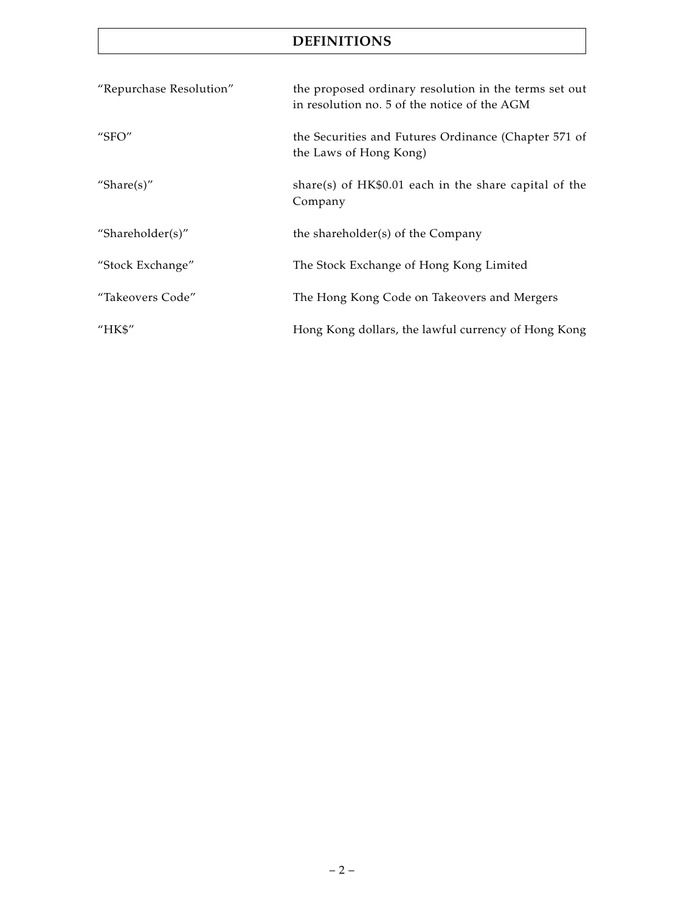# **DEFINITIONS**

| "Repurchase Resolution" | the proposed ordinary resolution in the terms set out<br>in resolution no. 5 of the notice of the AGM |
|-------------------------|-------------------------------------------------------------------------------------------------------|
| " $SFO"$                | the Securities and Futures Ordinance (Chapter 571 of<br>the Laws of Hong Kong)                        |
| "Share $(s)$ "          | share(s) of $HK$0.01$ each in the share capital of the<br>Company                                     |
| "Shareholder(s)"        | the shareholder(s) of the Company                                                                     |
| "Stock Exchange"        | The Stock Exchange of Hong Kong Limited                                                               |
| "Takeovers Code"        | The Hong Kong Code on Takeovers and Mergers                                                           |
| " $HKS"$                | Hong Kong dollars, the lawful currency of Hong Kong                                                   |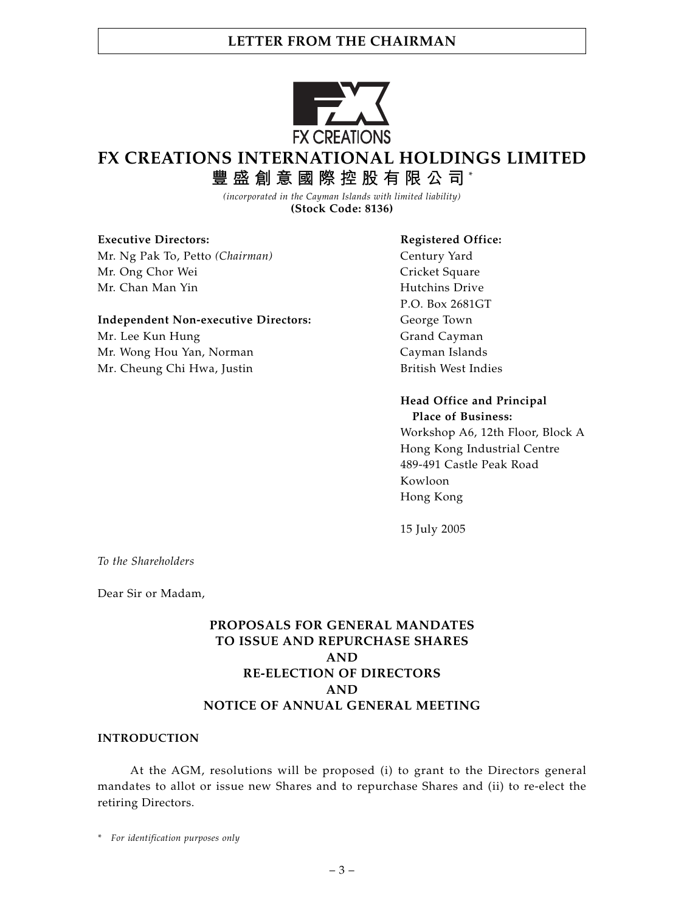

# **FX CREATIONS INTERNATIONAL HOLDINGS LIMITED**

**豐盛創意國際控股有限公司** \*

*(incorporated in the Cayman Islands with limited liability)* **(Stock Code: 8136)**

### **Executive Directors:** Registered Office:

Mr. Ng Pak To, Petto (Chairman) Century Yard Mr. Ong Chor Wei Cricket Square Mr. Chan Man Yin **Hutchins Drive** 

### **Independent Non-executive Directors:** George Town

Mr. Lee Kun Hung Grand Cayman Mr. Wong Hou Yan, Norman Cayman Islands Mr. Cheung Chi Hwa, Justin British West Indies

P.O. Box 2681GT

## **Head Office and Principal Place of Business:**

Workshop A6, 12th Floor, Block A Hong Kong Industrial Centre 489-491 Castle Peak Road Kowloon Hong Kong

15 July 2005

*To the Shareholders*

Dear Sir or Madam,

# **PROPOSALS FOR GENERAL MANDATES TO ISSUE AND REPURCHASE SHARES AND RE-ELECTION OF DIRECTORS AND NOTICE OF ANNUAL GENERAL MEETING**

### **INTRODUCTION**

At the AGM, resolutions will be proposed (i) to grant to the Directors general mandates to allot or issue new Shares and to repurchase Shares and (ii) to re-elect the retiring Directors.

*\* For identification purposes only*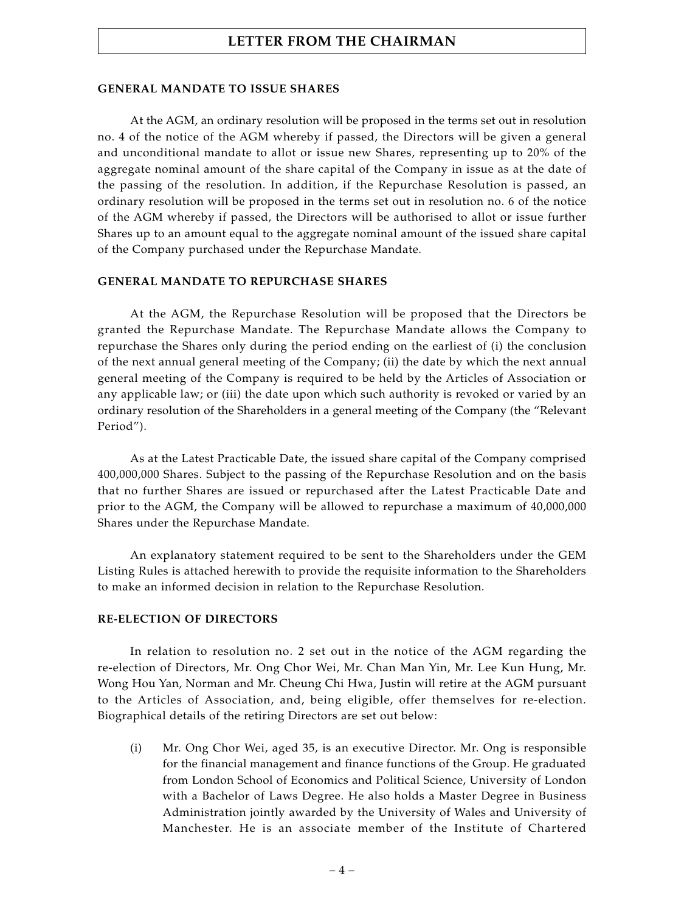#### **GENERAL MANDATE TO ISSUE SHARES**

At the AGM, an ordinary resolution will be proposed in the terms set out in resolution no. 4 of the notice of the AGM whereby if passed, the Directors will be given a general and unconditional mandate to allot or issue new Shares, representing up to 20% of the aggregate nominal amount of the share capital of the Company in issue as at the date of the passing of the resolution. In addition, if the Repurchase Resolution is passed, an ordinary resolution will be proposed in the terms set out in resolution no. 6 of the notice of the AGM whereby if passed, the Directors will be authorised to allot or issue further Shares up to an amount equal to the aggregate nominal amount of the issued share capital of the Company purchased under the Repurchase Mandate.

#### **GENERAL MANDATE TO REPURCHASE SHARES**

At the AGM, the Repurchase Resolution will be proposed that the Directors be granted the Repurchase Mandate. The Repurchase Mandate allows the Company to repurchase the Shares only during the period ending on the earliest of (i) the conclusion of the next annual general meeting of the Company; (ii) the date by which the next annual general meeting of the Company is required to be held by the Articles of Association or any applicable law; or (iii) the date upon which such authority is revoked or varied by an ordinary resolution of the Shareholders in a general meeting of the Company (the "Relevant Period").

As at the Latest Practicable Date, the issued share capital of the Company comprised 400,000,000 Shares. Subject to the passing of the Repurchase Resolution and on the basis that no further Shares are issued or repurchased after the Latest Practicable Date and prior to the AGM, the Company will be allowed to repurchase a maximum of 40,000,000 Shares under the Repurchase Mandate.

An explanatory statement required to be sent to the Shareholders under the GEM Listing Rules is attached herewith to provide the requisite information to the Shareholders to make an informed decision in relation to the Repurchase Resolution.

#### **RE-ELECTION OF DIRECTORS**

In relation to resolution no. 2 set out in the notice of the AGM regarding the re-election of Directors, Mr. Ong Chor Wei, Mr. Chan Man Yin, Mr. Lee Kun Hung, Mr. Wong Hou Yan, Norman and Mr. Cheung Chi Hwa, Justin will retire at the AGM pursuant to the Articles of Association, and, being eligible, offer themselves for re-election. Biographical details of the retiring Directors are set out below:

(i) Mr. Ong Chor Wei, aged 35, is an executive Director. Mr. Ong is responsible for the financial management and finance functions of the Group. He graduated from London School of Economics and Political Science, University of London with a Bachelor of Laws Degree. He also holds a Master Degree in Business Administration jointly awarded by the University of Wales and University of Manchester. He is an associate member of the Institute of Chartered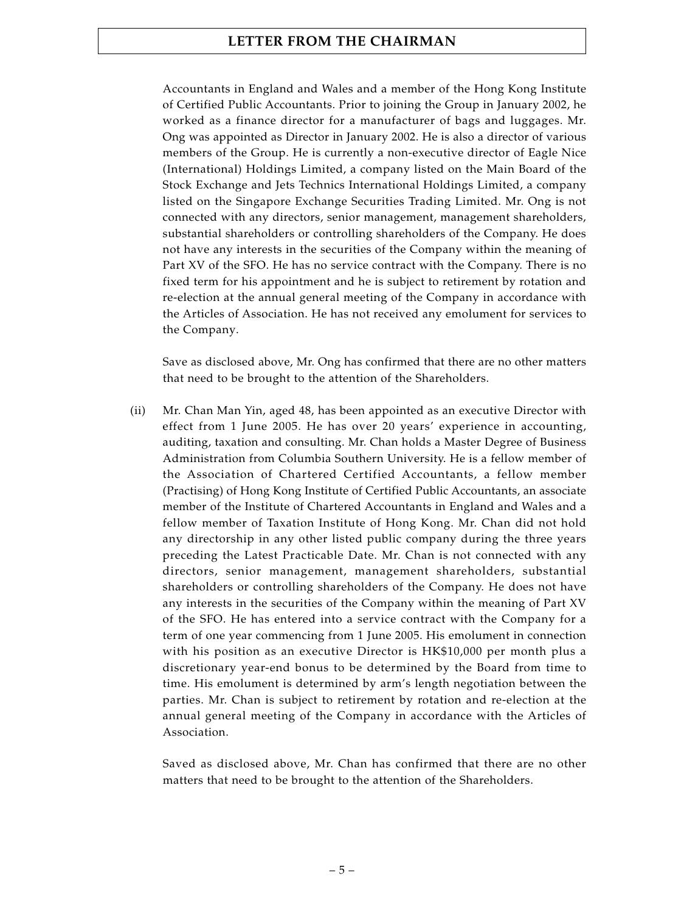Accountants in England and Wales and a member of the Hong Kong Institute of Certified Public Accountants. Prior to joining the Group in January 2002, he worked as a finance director for a manufacturer of bags and luggages. Mr. Ong was appointed as Director in January 2002. He is also a director of various members of the Group. He is currently a non-executive director of Eagle Nice (International) Holdings Limited, a company listed on the Main Board of the Stock Exchange and Jets Technics International Holdings Limited, a company listed on the Singapore Exchange Securities Trading Limited. Mr. Ong is not connected with any directors, senior management, management shareholders, substantial shareholders or controlling shareholders of the Company. He does not have any interests in the securities of the Company within the meaning of Part XV of the SFO. He has no service contract with the Company. There is no fixed term for his appointment and he is subject to retirement by rotation and re-election at the annual general meeting of the Company in accordance with the Articles of Association. He has not received any emolument for services to the Company.

Save as disclosed above, Mr. Ong has confirmed that there are no other matters that need to be brought to the attention of the Shareholders.

(ii) Mr. Chan Man Yin, aged 48, has been appointed as an executive Director with effect from 1 June 2005. He has over 20 years' experience in accounting, auditing, taxation and consulting. Mr. Chan holds a Master Degree of Business Administration from Columbia Southern University. He is a fellow member of the Association of Chartered Certified Accountants, a fellow member (Practising) of Hong Kong Institute of Certified Public Accountants, an associate member of the Institute of Chartered Accountants in England and Wales and a fellow member of Taxation Institute of Hong Kong. Mr. Chan did not hold any directorship in any other listed public company during the three years preceding the Latest Practicable Date. Mr. Chan is not connected with any directors, senior management, management shareholders, substantial shareholders or controlling shareholders of the Company. He does not have any interests in the securities of the Company within the meaning of Part XV of the SFO. He has entered into a service contract with the Company for a term of one year commencing from 1 June 2005. His emolument in connection with his position as an executive Director is HK\$10,000 per month plus a discretionary year-end bonus to be determined by the Board from time to time. His emolument is determined by arm's length negotiation between the parties. Mr. Chan is subject to retirement by rotation and re-election at the annual general meeting of the Company in accordance with the Articles of Association.

Saved as disclosed above, Mr. Chan has confirmed that there are no other matters that need to be brought to the attention of the Shareholders.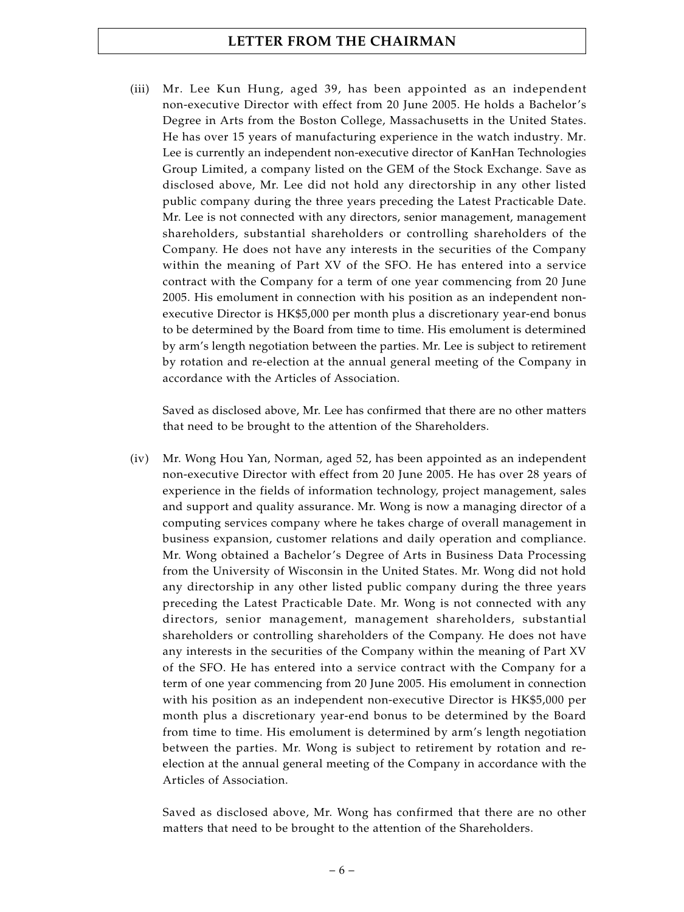(iii) Mr. Lee Kun Hung, aged 39, has been appointed as an independent non-executive Director with effect from 20 June 2005. He holds a Bachelor's Degree in Arts from the Boston College, Massachusetts in the United States. He has over 15 years of manufacturing experience in the watch industry. Mr. Lee is currently an independent non-executive director of KanHan Technologies Group Limited, a company listed on the GEM of the Stock Exchange. Save as disclosed above, Mr. Lee did not hold any directorship in any other listed public company during the three years preceding the Latest Practicable Date. Mr. Lee is not connected with any directors, senior management, management shareholders, substantial shareholders or controlling shareholders of the Company. He does not have any interests in the securities of the Company within the meaning of Part XV of the SFO. He has entered into a service contract with the Company for a term of one year commencing from 20 June 2005. His emolument in connection with his position as an independent nonexecutive Director is HK\$5,000 per month plus a discretionary year-end bonus to be determined by the Board from time to time. His emolument is determined by arm's length negotiation between the parties. Mr. Lee is subject to retirement by rotation and re-election at the annual general meeting of the Company in accordance with the Articles of Association.

Saved as disclosed above, Mr. Lee has confirmed that there are no other matters that need to be brought to the attention of the Shareholders.

(iv) Mr. Wong Hou Yan, Norman, aged 52, has been appointed as an independent non-executive Director with effect from 20 June 2005. He has over 28 years of experience in the fields of information technology, project management, sales and support and quality assurance. Mr. Wong is now a managing director of a computing services company where he takes charge of overall management in business expansion, customer relations and daily operation and compliance. Mr. Wong obtained a Bachelor's Degree of Arts in Business Data Processing from the University of Wisconsin in the United States. Mr. Wong did not hold any directorship in any other listed public company during the three years preceding the Latest Practicable Date. Mr. Wong is not connected with any directors, senior management, management shareholders, substantial shareholders or controlling shareholders of the Company. He does not have any interests in the securities of the Company within the meaning of Part XV of the SFO. He has entered into a service contract with the Company for a term of one year commencing from 20 June 2005. His emolument in connection with his position as an independent non-executive Director is HK\$5,000 per month plus a discretionary year-end bonus to be determined by the Board from time to time. His emolument is determined by arm's length negotiation between the parties. Mr. Wong is subject to retirement by rotation and reelection at the annual general meeting of the Company in accordance with the Articles of Association.

Saved as disclosed above, Mr. Wong has confirmed that there are no other matters that need to be brought to the attention of the Shareholders.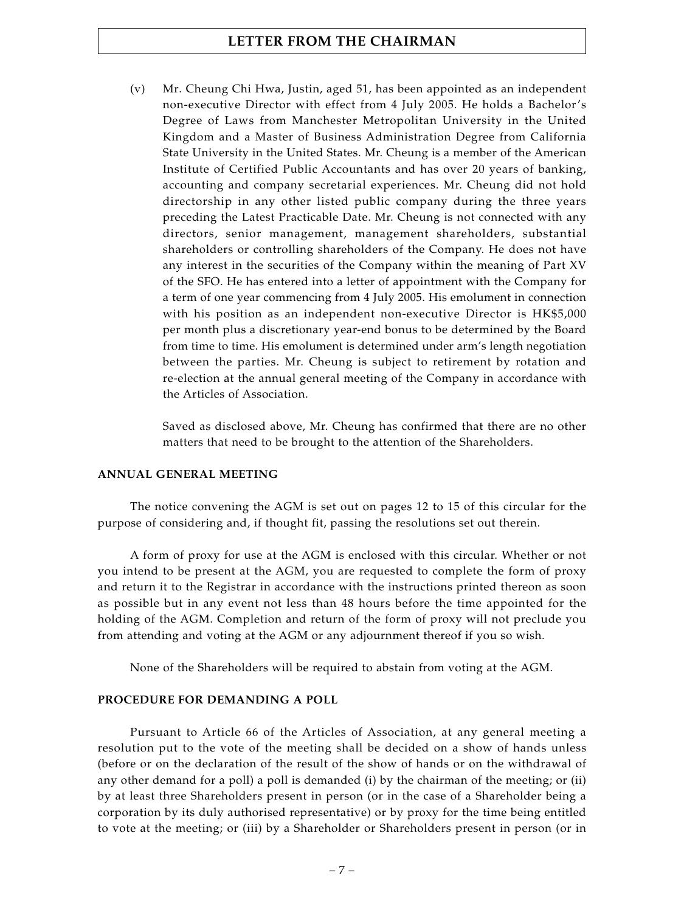(v) Mr. Cheung Chi Hwa, Justin, aged 51, has been appointed as an independent non-executive Director with effect from 4 July 2005. He holds a Bachelor's Degree of Laws from Manchester Metropolitan University in the United Kingdom and a Master of Business Administration Degree from California State University in the United States. Mr. Cheung is a member of the American Institute of Certified Public Accountants and has over 20 years of banking, accounting and company secretarial experiences. Mr. Cheung did not hold directorship in any other listed public company during the three years preceding the Latest Practicable Date. Mr. Cheung is not connected with any directors, senior management, management shareholders, substantial shareholders or controlling shareholders of the Company. He does not have any interest in the securities of the Company within the meaning of Part XV of the SFO. He has entered into a letter of appointment with the Company for a term of one year commencing from 4 July 2005. His emolument in connection with his position as an independent non-executive Director is HK\$5,000 per month plus a discretionary year-end bonus to be determined by the Board from time to time. His emolument is determined under arm's length negotiation between the parties. Mr. Cheung is subject to retirement by rotation and re-election at the annual general meeting of the Company in accordance with the Articles of Association.

Saved as disclosed above, Mr. Cheung has confirmed that there are no other matters that need to be brought to the attention of the Shareholders.

#### **ANNUAL GENERAL MEETING**

The notice convening the AGM is set out on pages 12 to 15 of this circular for the purpose of considering and, if thought fit, passing the resolutions set out therein.

A form of proxy for use at the AGM is enclosed with this circular. Whether or not you intend to be present at the AGM, you are requested to complete the form of proxy and return it to the Registrar in accordance with the instructions printed thereon as soon as possible but in any event not less than 48 hours before the time appointed for the holding of the AGM. Completion and return of the form of proxy will not preclude you from attending and voting at the AGM or any adjournment thereof if you so wish.

None of the Shareholders will be required to abstain from voting at the AGM.

#### **PROCEDURE FOR DEMANDING A POLL**

Pursuant to Article 66 of the Articles of Association, at any general meeting a resolution put to the vote of the meeting shall be decided on a show of hands unless (before or on the declaration of the result of the show of hands or on the withdrawal of any other demand for a poll) a poll is demanded (i) by the chairman of the meeting; or (ii) by at least three Shareholders present in person (or in the case of a Shareholder being a corporation by its duly authorised representative) or by proxy for the time being entitled to vote at the meeting; or (iii) by a Shareholder or Shareholders present in person (or in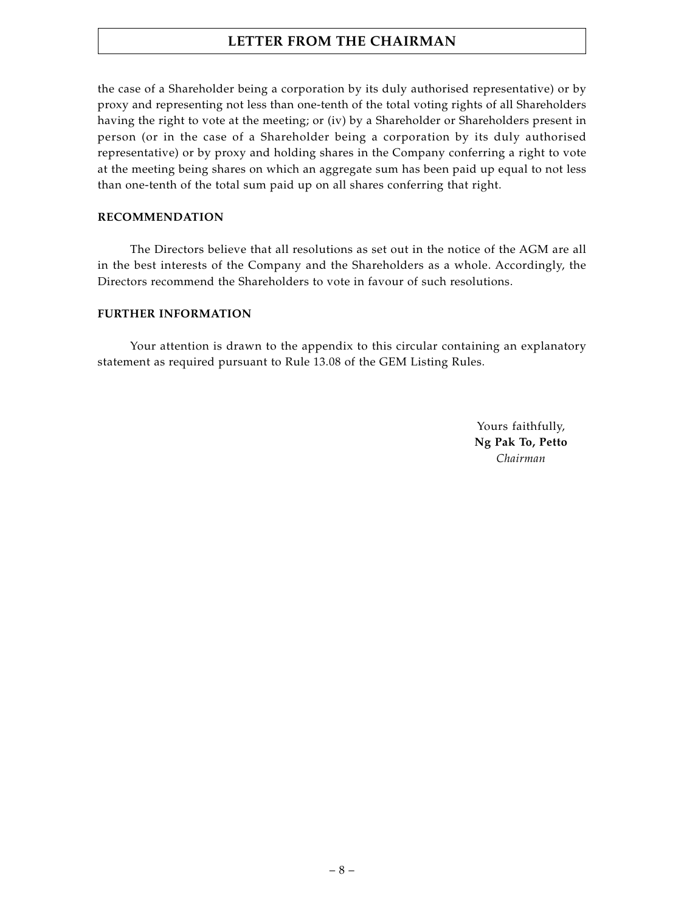the case of a Shareholder being a corporation by its duly authorised representative) or by proxy and representing not less than one-tenth of the total voting rights of all Shareholders having the right to vote at the meeting; or (iv) by a Shareholder or Shareholders present in person (or in the case of a Shareholder being a corporation by its duly authorised representative) or by proxy and holding shares in the Company conferring a right to vote at the meeting being shares on which an aggregate sum has been paid up equal to not less than one-tenth of the total sum paid up on all shares conferring that right.

#### **RECOMMENDATION**

The Directors believe that all resolutions as set out in the notice of the AGM are all in the best interests of the Company and the Shareholders as a whole. Accordingly, the Directors recommend the Shareholders to vote in favour of such resolutions.

#### **FURTHER INFORMATION**

Your attention is drawn to the appendix to this circular containing an explanatory statement as required pursuant to Rule 13.08 of the GEM Listing Rules.

> Yours faithfully, **Ng Pak To, Petto** *Chairman*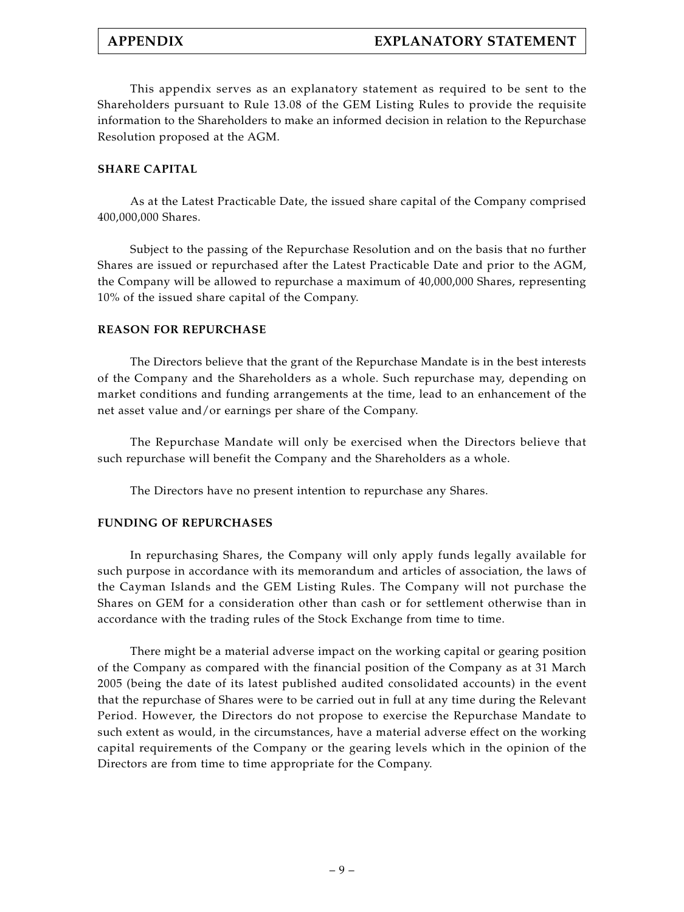This appendix serves as an explanatory statement as required to be sent to the Shareholders pursuant to Rule 13.08 of the GEM Listing Rules to provide the requisite information to the Shareholders to make an informed decision in relation to the Repurchase Resolution proposed at the AGM.

#### **SHARE CAPITAL**

As at the Latest Practicable Date, the issued share capital of the Company comprised 400,000,000 Shares.

Subject to the passing of the Repurchase Resolution and on the basis that no further Shares are issued or repurchased after the Latest Practicable Date and prior to the AGM, the Company will be allowed to repurchase a maximum of 40,000,000 Shares, representing 10% of the issued share capital of the Company.

#### **REASON FOR REPURCHASE**

The Directors believe that the grant of the Repurchase Mandate is in the best interests of the Company and the Shareholders as a whole. Such repurchase may, depending on market conditions and funding arrangements at the time, lead to an enhancement of the net asset value and/or earnings per share of the Company.

The Repurchase Mandate will only be exercised when the Directors believe that such repurchase will benefit the Company and the Shareholders as a whole.

The Directors have no present intention to repurchase any Shares.

#### **FUNDING OF REPURCHASES**

In repurchasing Shares, the Company will only apply funds legally available for such purpose in accordance with its memorandum and articles of association, the laws of the Cayman Islands and the GEM Listing Rules. The Company will not purchase the Shares on GEM for a consideration other than cash or for settlement otherwise than in accordance with the trading rules of the Stock Exchange from time to time.

There might be a material adverse impact on the working capital or gearing position of the Company as compared with the financial position of the Company as at 31 March 2005 (being the date of its latest published audited consolidated accounts) in the event that the repurchase of Shares were to be carried out in full at any time during the Relevant Period. However, the Directors do not propose to exercise the Repurchase Mandate to such extent as would, in the circumstances, have a material adverse effect on the working capital requirements of the Company or the gearing levels which in the opinion of the Directors are from time to time appropriate for the Company.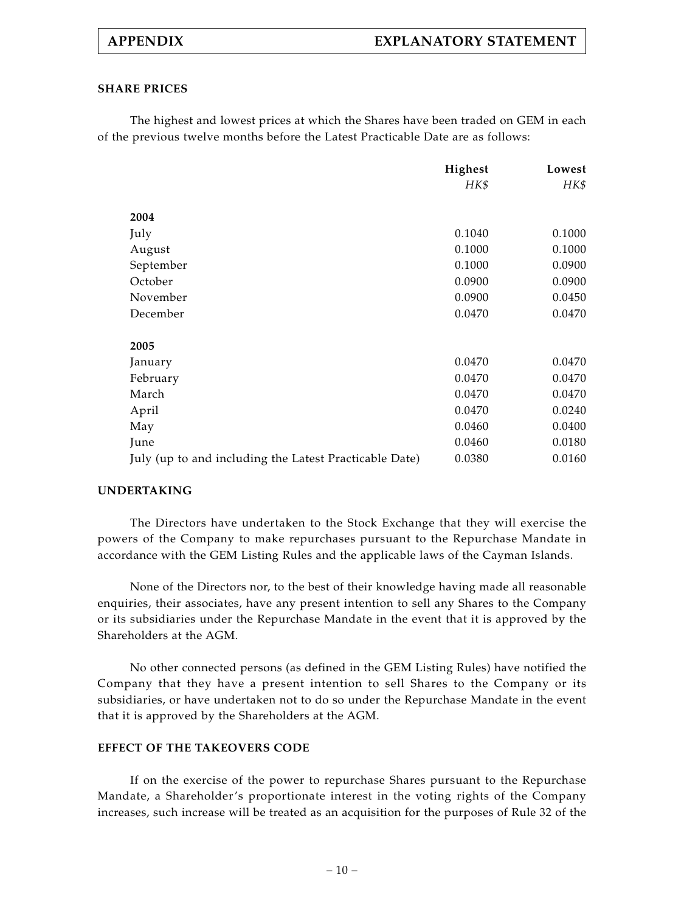#### **SHARE PRICES**

The highest and lowest prices at which the Shares have been traded on GEM in each of the previous twelve months before the Latest Practicable Date are as follows:

|                                                        | <b>Highest</b> | Lowest |
|--------------------------------------------------------|----------------|--------|
|                                                        | HK\$           | HK\$   |
|                                                        |                |        |
| 2004                                                   |                |        |
| July                                                   | 0.1040         | 0.1000 |
| August                                                 | 0.1000         | 0.1000 |
| September                                              | 0.1000         | 0.0900 |
| October                                                | 0.0900         | 0.0900 |
| November                                               | 0.0900         | 0.0450 |
| December                                               | 0.0470         | 0.0470 |
|                                                        |                |        |
| 2005                                                   |                |        |
| January                                                | 0.0470         | 0.0470 |
| February                                               | 0.0470         | 0.0470 |
| March                                                  | 0.0470         | 0.0470 |
| April                                                  | 0.0470         | 0.0240 |
| May                                                    | 0.0460         | 0.0400 |
| June                                                   | 0.0460         | 0.0180 |
| July (up to and including the Latest Practicable Date) | 0.0380         | 0.0160 |

#### **UNDERTAKING**

The Directors have undertaken to the Stock Exchange that they will exercise the powers of the Company to make repurchases pursuant to the Repurchase Mandate in accordance with the GEM Listing Rules and the applicable laws of the Cayman Islands.

None of the Directors nor, to the best of their knowledge having made all reasonable enquiries, their associates, have any present intention to sell any Shares to the Company or its subsidiaries under the Repurchase Mandate in the event that it is approved by the Shareholders at the AGM.

No other connected persons (as defined in the GEM Listing Rules) have notified the Company that they have a present intention to sell Shares to the Company or its subsidiaries, or have undertaken not to do so under the Repurchase Mandate in the event that it is approved by the Shareholders at the AGM.

#### **EFFECT OF THE TAKEOVERS CODE**

If on the exercise of the power to repurchase Shares pursuant to the Repurchase Mandate, a Shareholder's proportionate interest in the voting rights of the Company increases, such increase will be treated as an acquisition for the purposes of Rule 32 of the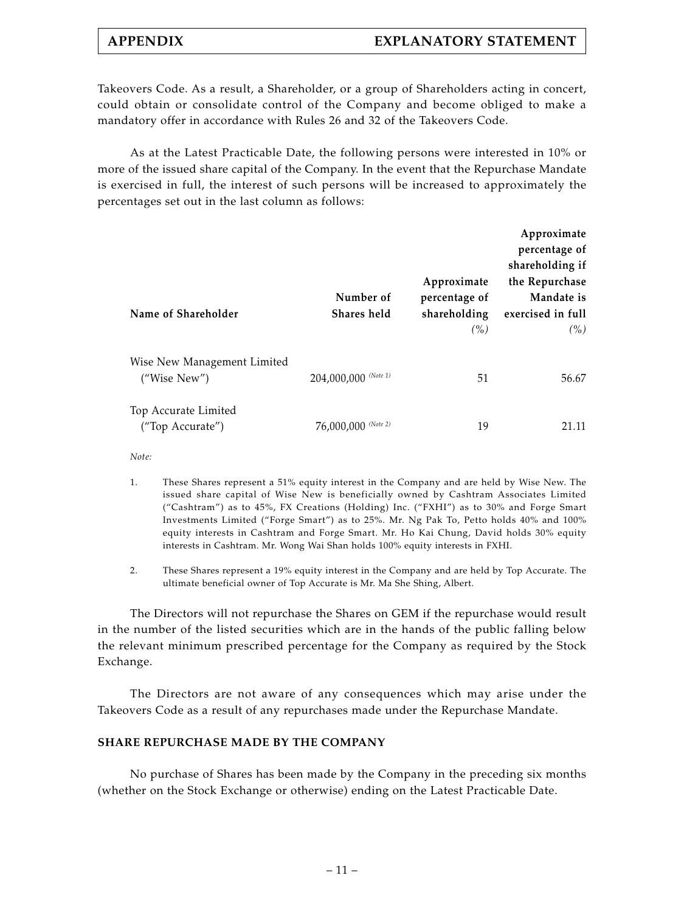Takeovers Code. As a result, a Shareholder, or a group of Shareholders acting in concert, could obtain or consolidate control of the Company and become obliged to make a mandatory offer in accordance with Rules 26 and 32 of the Takeovers Code.

As at the Latest Practicable Date, the following persons were interested in 10% or more of the issued share capital of the Company. In the event that the Repurchase Mandate is exercised in full, the interest of such persons will be increased to approximately the percentages set out in the last column as follows:

| Name of Shareholder                         | Number of<br>Shares held | Approximate<br>percentage of<br>shareholding<br>(% ) | Approximate<br>percentage of<br>shareholding if<br>the Repurchase<br>Mandate is<br>exercised in full<br>(% ) |
|---------------------------------------------|--------------------------|------------------------------------------------------|--------------------------------------------------------------------------------------------------------------|
| Wise New Management Limited<br>("Wise New") | 204,000,000 (Note 1)     | 51                                                   | 56.67                                                                                                        |
| Top Accurate Limited<br>("Top Accurate")    | 76,000,000 (Note 2)      | 19                                                   | 21.11                                                                                                        |

*Note:*

- 1. These Shares represent a 51% equity interest in the Company and are held by Wise New. The issued share capital of Wise New is beneficially owned by Cashtram Associates Limited ("Cashtram") as to 45%, FX Creations (Holding) Inc. ("FXHI") as to 30% and Forge Smart Investments Limited ("Forge Smart") as to 25%. Mr. Ng Pak To, Petto holds 40% and 100% equity interests in Cashtram and Forge Smart. Mr. Ho Kai Chung, David holds 30% equity interests in Cashtram. Mr. Wong Wai Shan holds 100% equity interests in FXHI.
- 2. These Shares represent a 19% equity interest in the Company and are held by Top Accurate. The ultimate beneficial owner of Top Accurate is Mr. Ma She Shing, Albert.

The Directors will not repurchase the Shares on GEM if the repurchase would result in the number of the listed securities which are in the hands of the public falling below the relevant minimum prescribed percentage for the Company as required by the Stock Exchange.

The Directors are not aware of any consequences which may arise under the Takeovers Code as a result of any repurchases made under the Repurchase Mandate.

### **SHARE REPURCHASE MADE BY THE COMPANY**

No purchase of Shares has been made by the Company in the preceding six months (whether on the Stock Exchange or otherwise) ending on the Latest Practicable Date.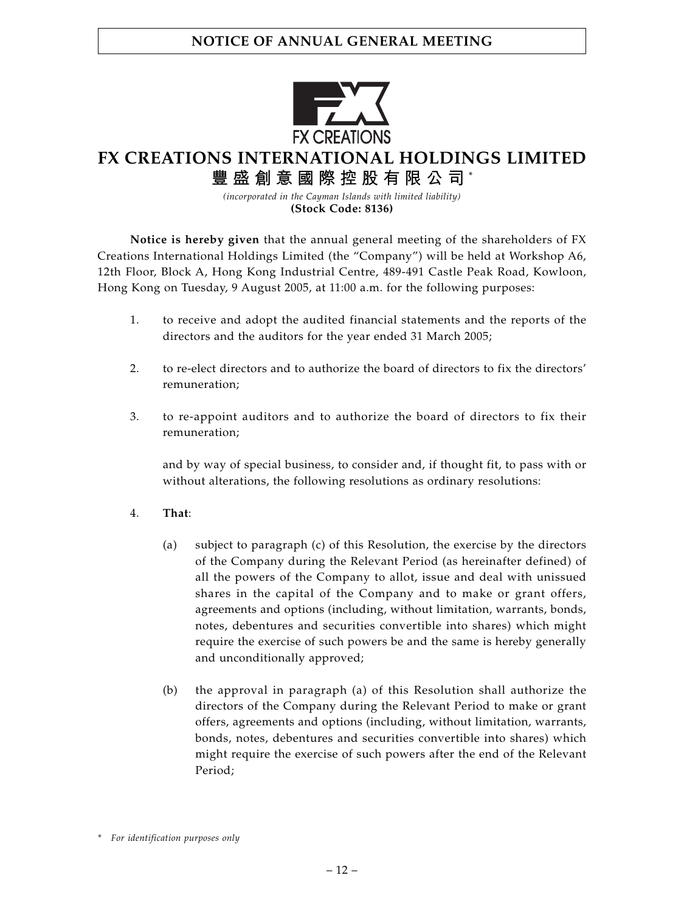

**FX CREATIONS INTERNATIONAL HOLDINGS LIMITED**

**豐盛創意國際控股有限公司** \*

*(incorporated in the Cayman Islands with limited liability)* **(Stock Code: 8136)**

**Notice is hereby given** that the annual general meeting of the shareholders of FX Creations International Holdings Limited (the "Company") will be held at Workshop A6, 12th Floor, Block A, Hong Kong Industrial Centre, 489-491 Castle Peak Road, Kowloon, Hong Kong on Tuesday, 9 August 2005, at 11:00 a.m. for the following purposes:

- 1. to receive and adopt the audited financial statements and the reports of the directors and the auditors for the year ended 31 March 2005;
- 2. to re-elect directors and to authorize the board of directors to fix the directors' remuneration;
- 3. to re-appoint auditors and to authorize the board of directors to fix their remuneration;

and by way of special business, to consider and, if thought fit, to pass with or without alterations, the following resolutions as ordinary resolutions:

- 4. **That**:
	- (a) subject to paragraph (c) of this Resolution, the exercise by the directors of the Company during the Relevant Period (as hereinafter defined) of all the powers of the Company to allot, issue and deal with unissued shares in the capital of the Company and to make or grant offers, agreements and options (including, without limitation, warrants, bonds, notes, debentures and securities convertible into shares) which might require the exercise of such powers be and the same is hereby generally and unconditionally approved;
	- (b) the approval in paragraph (a) of this Resolution shall authorize the directors of the Company during the Relevant Period to make or grant offers, agreements and options (including, without limitation, warrants, bonds, notes, debentures and securities convertible into shares) which might require the exercise of such powers after the end of the Relevant Period;

*<sup>\*</sup> For identification purposes only*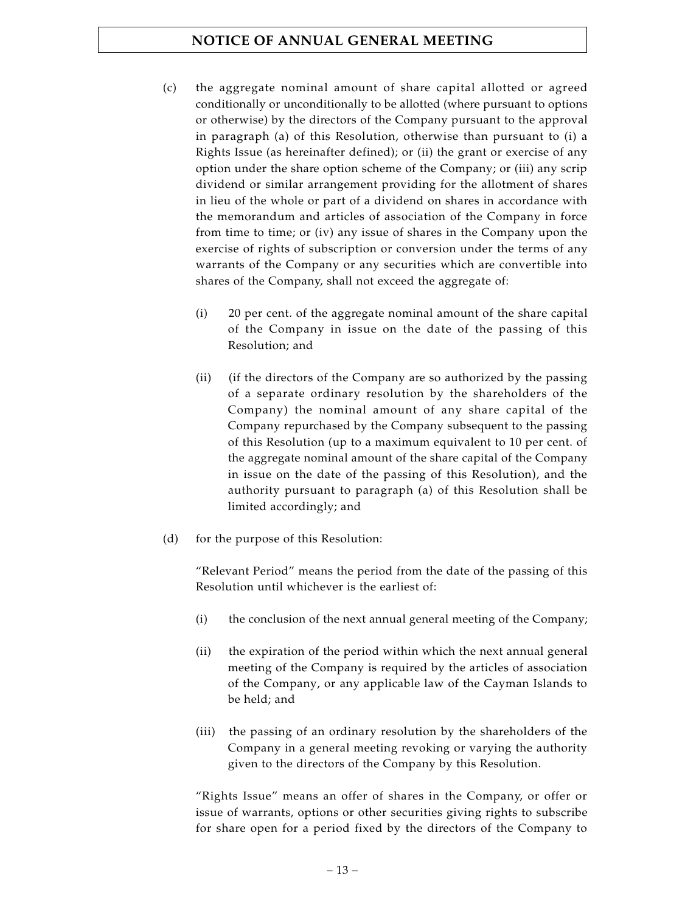- (c) the aggregate nominal amount of share capital allotted or agreed conditionally or unconditionally to be allotted (where pursuant to options or otherwise) by the directors of the Company pursuant to the approval in paragraph (a) of this Resolution, otherwise than pursuant to (i) a Rights Issue (as hereinafter defined); or (ii) the grant or exercise of any option under the share option scheme of the Company; or (iii) any scrip dividend or similar arrangement providing for the allotment of shares in lieu of the whole or part of a dividend on shares in accordance with the memorandum and articles of association of the Company in force from time to time; or (iv) any issue of shares in the Company upon the exercise of rights of subscription or conversion under the terms of any warrants of the Company or any securities which are convertible into shares of the Company, shall not exceed the aggregate of:
	- (i) 20 per cent. of the aggregate nominal amount of the share capital of the Company in issue on the date of the passing of this Resolution; and
	- (ii) (if the directors of the Company are so authorized by the passing of a separate ordinary resolution by the shareholders of the Company) the nominal amount of any share capital of the Company repurchased by the Company subsequent to the passing of this Resolution (up to a maximum equivalent to 10 per cent. of the aggregate nominal amount of the share capital of the Company in issue on the date of the passing of this Resolution), and the authority pursuant to paragraph (a) of this Resolution shall be limited accordingly; and
- (d) for the purpose of this Resolution:

"Relevant Period" means the period from the date of the passing of this Resolution until whichever is the earliest of:

- (i) the conclusion of the next annual general meeting of the Company;
- (ii) the expiration of the period within which the next annual general meeting of the Company is required by the articles of association of the Company, or any applicable law of the Cayman Islands to be held; and
- (iii) the passing of an ordinary resolution by the shareholders of the Company in a general meeting revoking or varying the authority given to the directors of the Company by this Resolution.

"Rights Issue" means an offer of shares in the Company, or offer or issue of warrants, options or other securities giving rights to subscribe for share open for a period fixed by the directors of the Company to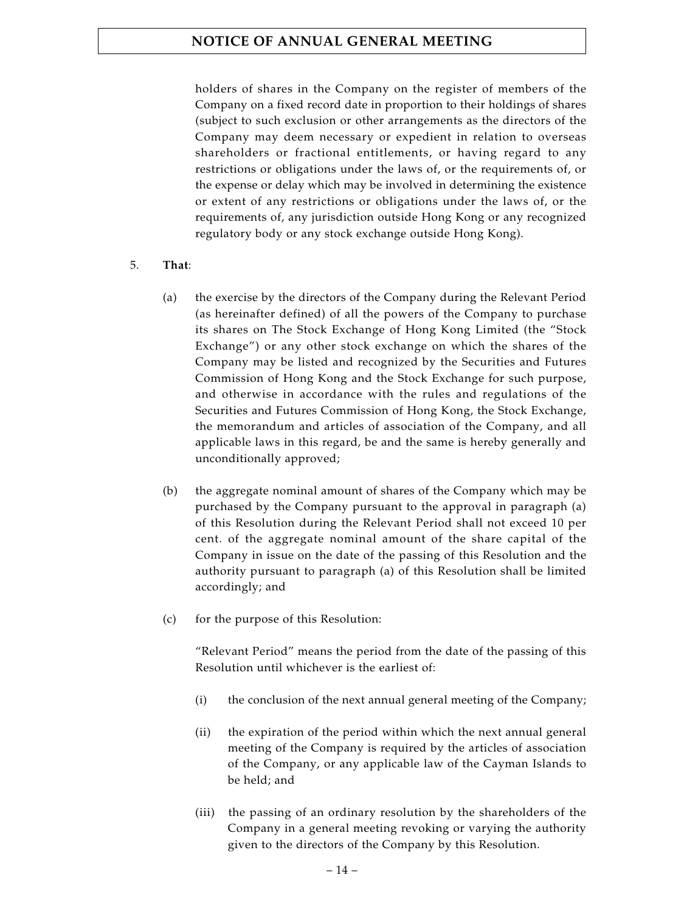holders of shares in the Company on the register of members of the Company on a fixed record date in proportion to their holdings of shares (subject to such exclusion or other arrangements as the directors of the Company may deem necessary or expedient in relation to overseas shareholders or fractional entitlements, or having regard to any restrictions or obligations under the laws of, or the requirements of, or the expense or delay which may be involved in determining the existence or extent of any restrictions or obligations under the laws of, or the requirements of, any jurisdiction outside Hong Kong or any recognized regulatory body or any stock exchange outside Hong Kong).

- 5. **That**:
	- (a) the exercise by the directors of the Company during the Relevant Period (as hereinafter defined) of all the powers of the Company to purchase its shares on The Stock Exchange of Hong Kong Limited (the "Stock Exchange") or any other stock exchange on which the shares of the Company may be listed and recognized by the Securities and Futures Commission of Hong Kong and the Stock Exchange for such purpose, and otherwise in accordance with the rules and regulations of the Securities and Futures Commission of Hong Kong, the Stock Exchange, the memorandum and articles of association of the Company, and all applicable laws in this regard, be and the same is hereby generally and unconditionally approved;
	- (b) the aggregate nominal amount of shares of the Company which may be purchased by the Company pursuant to the approval in paragraph (a) of this Resolution during the Relevant Period shall not exceed 10 per cent. of the aggregate nominal amount of the share capital of the Company in issue on the date of the passing of this Resolution and the authority pursuant to paragraph (a) of this Resolution shall be limited accordingly; and
	- (c) for the purpose of this Resolution:

"Relevant Period" means the period from the date of the passing of this Resolution until whichever is the earliest of:

- (i) the conclusion of the next annual general meeting of the Company;
- (ii) the expiration of the period within which the next annual general meeting of the Company is required by the articles of association of the Company, or any applicable law of the Cayman Islands to be held; and
- (iii) the passing of an ordinary resolution by the shareholders of the Company in a general meeting revoking or varying the authority given to the directors of the Company by this Resolution.